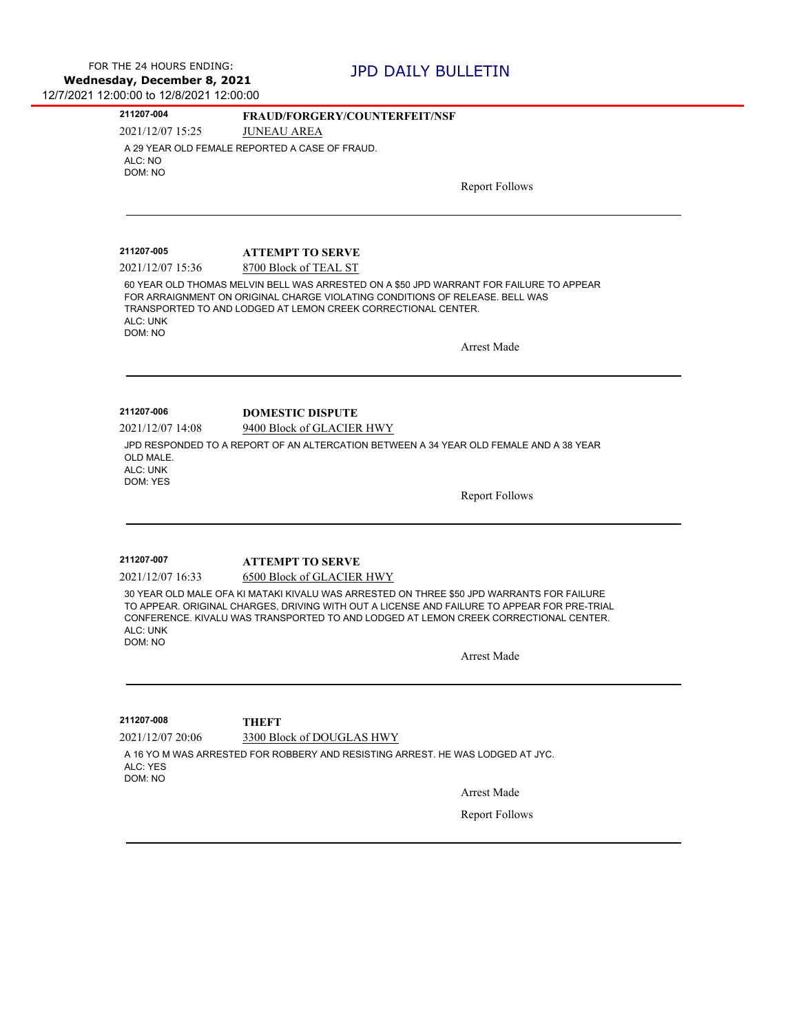| 211207-004                                            | <b>FRAUD/FORGERY/COUNTERFEIT/NSF</b>                                                                                                                                                                                                                                                            |
|-------------------------------------------------------|-------------------------------------------------------------------------------------------------------------------------------------------------------------------------------------------------------------------------------------------------------------------------------------------------|
| 2021/12/07 15:25                                      | <b>JUNEAU AREA</b>                                                                                                                                                                                                                                                                              |
| ALC: NO<br>DOM: NO                                    | A 29 YEAR OLD FEMALE REPORTED A CASE OF FRAUD.                                                                                                                                                                                                                                                  |
|                                                       | <b>Report Follows</b>                                                                                                                                                                                                                                                                           |
|                                                       |                                                                                                                                                                                                                                                                                                 |
| 211207-005                                            | <b>ATTEMPT TO SERVE</b>                                                                                                                                                                                                                                                                         |
| 2021/12/07 15:36                                      | 8700 Block of TEAL ST                                                                                                                                                                                                                                                                           |
| ALC: UNK<br>DOM: NO                                   | 60 YEAR OLD THOMAS MELVIN BELL WAS ARRESTED ON A \$50 JPD WARRANT FOR FAILURE TO APPEAR<br>FOR ARRAIGNMENT ON ORIGINAL CHARGE VIOLATING CONDITIONS OF RELEASE. BELL WAS<br>TRANSPORTED TO AND LODGED AT LEMON CREEK CORRECTIONAL CENTER.                                                        |
|                                                       | <b>Arrest Made</b>                                                                                                                                                                                                                                                                              |
|                                                       |                                                                                                                                                                                                                                                                                                 |
| 2021/12/07 14:08<br>OLD MALE.<br>ALC: UNK<br>DOM: YES | 9400 Block of GLACIER HWY<br>JPD RESPONDED TO A REPORT OF AN ALTERCATION BETWEEN A 34 YEAR OLD FEMALE AND A 38 YEAR<br><b>Report Follows</b>                                                                                                                                                    |
|                                                       |                                                                                                                                                                                                                                                                                                 |
|                                                       |                                                                                                                                                                                                                                                                                                 |
| 211207-007                                            | <b>ATTEMPT TO SERVE</b>                                                                                                                                                                                                                                                                         |
| 2021/12/07 16:33                                      | 6500 Block of GLACIER HWY                                                                                                                                                                                                                                                                       |
| ALC: UNK<br>DOM: NO                                   |                                                                                                                                                                                                                                                                                                 |
|                                                       | 30 YEAR OLD MALE OFA KI MATAKI KIVALU WAS ARRESTED ON THREE \$50 JPD WARRANTS FOR FAILURE<br>TO APPEAR. ORIGINAL CHARGES, DRIVING WITH OUT A LICENSE AND FAILURE TO APPEAR FOR PRE-TRIAL<br>CONFERENCE. KIVALU WAS TRANSPORTED TO AND LODGED AT LEMON CREEK CORRECTIONAL CENTER.<br>Arrest Made |

2021/12/07 20:06 3300 Block of DOUGLAS HWY A 16 YO M WAS ARRESTED FOR ROBBERY AND RESISTING ARREST. HE WAS LODGED AT JYC. ALC: YES DOM: NO

Arrest Made

Report Follows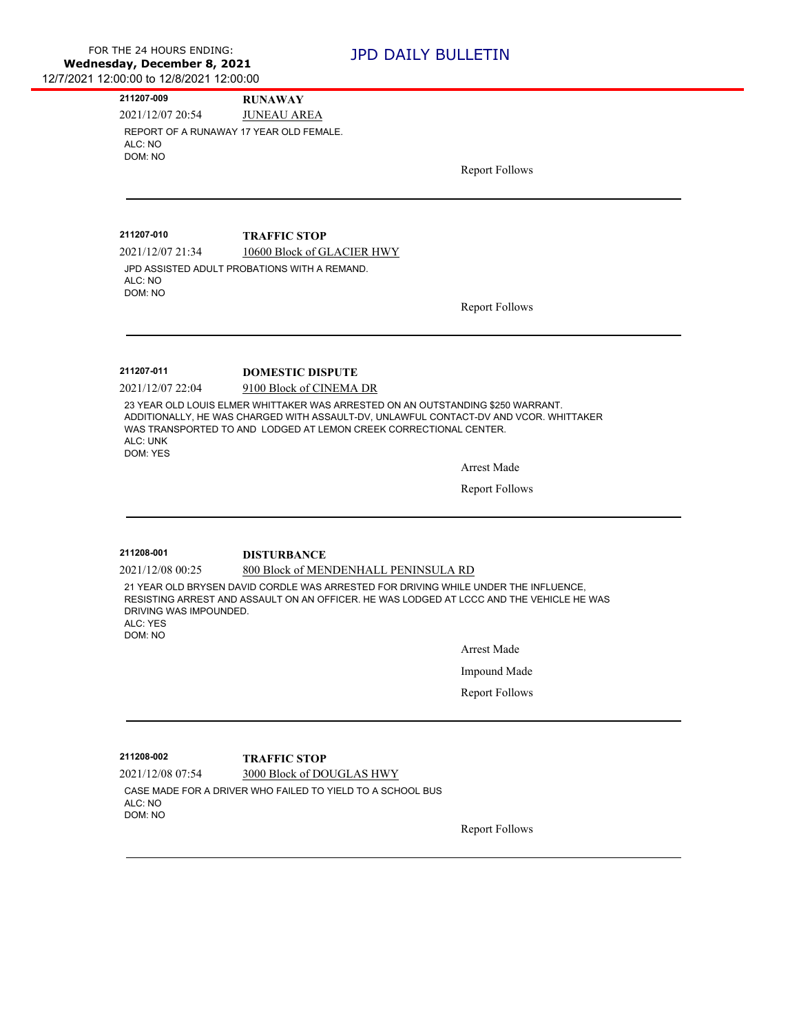| 211207-009                         | <b>RUNAWAY</b>                                                                           |                       |
|------------------------------------|------------------------------------------------------------------------------------------|-----------------------|
| 2021/12/07 20:54                   | <b>JUNEAU AREA</b>                                                                       |                       |
| ALC: NO                            | REPORT OF A RUNAWAY 17 YEAR OLD FEMALE.                                                  |                       |
| DOM: NO                            |                                                                                          |                       |
|                                    |                                                                                          | <b>Report Follows</b> |
|                                    |                                                                                          |                       |
|                                    |                                                                                          |                       |
| 211207-010                         | <b>TRAFFIC STOP</b>                                                                      |                       |
| 2021/12/07 21:34                   | 10600 Block of GLACIER HWY                                                               |                       |
|                                    | JPD ASSISTED ADULT PROBATIONS WITH A REMAND.                                             |                       |
| ALC: NO<br>DOM: NO                 |                                                                                          |                       |
|                                    |                                                                                          | <b>Report Follows</b> |
|                                    |                                                                                          |                       |
|                                    |                                                                                          |                       |
| 211207-011                         | <b>DOMESTIC DISPUTE</b>                                                                  |                       |
| 2021/12/07 22:04                   | 9100 Block of CINEMA DR                                                                  |                       |
|                                    | 23 YEAR OLD LOUIS ELMER WHITTAKER WAS ARRESTED ON AN OUTSTANDING \$250 WARRANT.          |                       |
|                                    |                                                                                          |                       |
|                                    | ADDITIONALLY, HE WAS CHARGED WITH ASSAULT-DV, UNLAWFUL CONTACT-DV AND VCOR. WHITTAKER    |                       |
| ALC: UNK                           | WAS TRANSPORTED TO AND LODGED AT LEMON CREEK CORRECTIONAL CENTER.                        |                       |
| DOM: YES                           |                                                                                          |                       |
|                                    |                                                                                          | Arrest Made           |
|                                    |                                                                                          | <b>Report Follows</b> |
|                                    |                                                                                          |                       |
|                                    |                                                                                          |                       |
| 211208-001                         | <b>DISTURBANCE</b>                                                                       |                       |
| 2021/12/08 00:25                   | 800 Block of MENDENHALL PENINSULA RD                                                     |                       |
|                                    | 21 YEAR OLD BRYSEN DAVID CORDLE WAS ARRESTED FOR DRIVING WHILE UNDER THE INFLUENCE,      |                       |
|                                    | RESISTING ARREST AND ASSAULT ON AN OFFICER. HE WAS LODGED AT LCCC AND THE VEHICLE HE WAS |                       |
| DRIVING WAS IMPOUNDED.<br>ALC: YES |                                                                                          |                       |
| DOM: NO                            |                                                                                          |                       |
|                                    |                                                                                          | <b>Arrest Made</b>    |
|                                    |                                                                                          | Impound Made          |
|                                    |                                                                                          | <b>Report Follows</b> |
|                                    |                                                                                          |                       |
|                                    |                                                                                          |                       |
| 211208-002                         | <b>TRAFFIC STOP</b>                                                                      |                       |
| 2021/12/08 07:54                   | 3000 Block of DOUGLAS HWY                                                                |                       |
| ALC: NO                            | CASE MADE FOR A DRIVER WHO FAILED TO YIELD TO A SCHOOL BUS                               |                       |
| DOM: NO                            |                                                                                          | <b>Report Follows</b> |